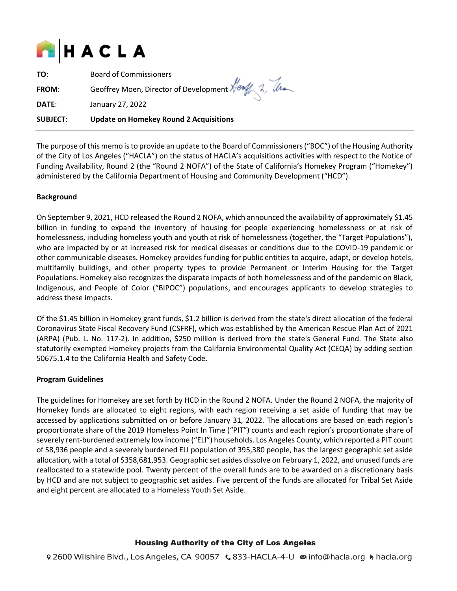

**TO**: Board of Commissioners

**FROM:** Geoffrey Moen, Director of Development Here 2. Use

**DATE**: January 27, 2022

# **SUBJECT**: **Update on Homekey Round 2 Acquisitions**

The purpose of this memo is to provide an update to the Board of Commissioners ("BOC") of the Housing Authority of the City of Los Angeles ("HACLA") on the status of HACLA's acquisitions activities with respect to the Notice of Funding Availability, Round 2 (the "Round 2 NOFA") of the State of California's Homekey Program ("Homekey") administered by the California Department of Housing and Community Development ("HCD").

## **Background**

On September 9, 2021, HCD released the Round 2 NOFA, which announced the availability of approximately \$1.45 billion in funding to expand the inventory of housing for people experiencing homelessness or at risk of homelessness, including homeless youth and youth at risk of homelessness (together, the "Target Populations"), who are impacted by or at increased risk for medical diseases or conditions due to the COVID-19 pandemic or other communicable diseases. Homekey provides funding for public entities to acquire, adapt, or develop hotels, multifamily buildings, and other property types to provide Permanent or Interim Housing for the Target Populations. Homekey also recognizes the disparate impacts of both homelessness and of the pandemic on Black, Indigenous, and People of Color ("BIPOC") populations, and encourages applicants to develop strategies to address these impacts.

Of the \$1.45 billion in Homekey grant funds, \$1.2 billion is derived from the state's direct allocation of the federal Coronavirus State Fiscal Recovery Fund (CSFRF), which was established by the American Rescue Plan Act of 2021 (ARPA) (Pub. L. No. 117-2). In addition, \$250 million is derived from the state's General Fund. The State also statutorily exempted Homekey projects from the California Environmental Quality Act (CEQA) by adding section 50675.1.4 to the California Health and Safety Code.

## **Program Guidelines**

The guidelines for Homekey are set forth by HCD in the Round 2 NOFA. Under the Round 2 NOFA, the majority of Homekey funds are allocated to eight regions, with each region receiving a set aside of funding that may be accessed by applications submitted on or before January 31, 2022. The allocations are based on each region's proportionate share of the 2019 Homeless Point In Time ("PIT") counts and each region's proportionate share of severely rent-burdened extremely low income ("ELI") households. Los Angeles County, which reported a PIT count of 58,936 people and a severely burdened ELI population of 395,380 people, has the largest geographic set aside allocation, with a total of \$358,681,953. Geographic set asides dissolve on February 1, 2022, and unused funds are reallocated to a statewide pool. Twenty percent of the overall funds are to be awarded on a discretionary basis by HCD and are not subject to geographic set asides. Five percent of the funds are allocated for Tribal Set Aside and eight percent are allocated to a Homeless Youth Set Aside.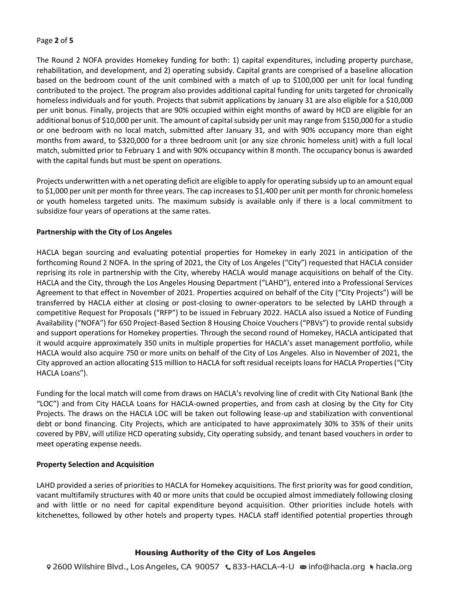## Page **2** of **5**

The Round 2 NOFA provides Homekey funding for both: 1) capital expenditures, including property purchase, rehabilitation, and development, and 2) operating subsidy. Capital grants are comprised of a baseline allocation based on the bedroom count of the unit combined with a match of up to \$100,000 per unit for local funding contributed to the project. The program also provides additional capital funding for units targeted for chronically homeless individuals and for youth. Projects that submit applications by January 31 are also eligible for a \$10,000 per unit bonus. Finally, projects that are 90% occupied within eight months of award by HCD are eligible for an additional bonus of \$10,000 per unit. The amount of capital subsidy per unit may range from \$150,000 for a studio or one bedroom with no local match, submitted after January 31, and with 90% occupancy more than eight months from award, to \$320,000 for a three bedroom unit (or any size chronic homeless unit) with a full local match, submitted prior to February 1 and with 90% occupancy within 8 month. The occupancy bonus is awarded with the capital funds but must be spent on operations.

Projects underwritten with a net operating deficit are eligible to apply for operating subsidy up to an amount equal to \$1,000 per unit per month for three years. The cap increases to \$1,400 per unit per month for chronic homeless or youth homeless targeted units. The maximum subsidy is available only if there is a local commitment to subsidize four years of operations at the same rates.

## **Partnership with the City of Los Angeles**

HACLA began sourcing and evaluating potential properties for Homekey in early 2021 in anticipation of the forthcoming Round 2 NOFA. In the spring of 2021, the City of Los Angeles ("City") requested that HACLA consider reprising its role in partnership with the City, whereby HACLA would manage acquisitions on behalf of the City. HACLA and the City, through the Los Angeles Housing Department ("LAHD"), entered into a Professional Services Agreement to that effect in November of 2021. Properties acquired on behalf of the City ("City Projects") will be transferred by HACLA either at closing or post-closing to owner-operators to be selected by LAHD through a competitive Request for Proposals ("RFP") to be issued in February 2022. HACLA also issued a Notice of Funding Availability ("NOFA") for 650 Project-Based Section 8 Housing Choice Vouchers ("PBVs") to provide rental subsidy and support operations for Homekey properties. Through the second round of Homekey, HACLA anticipated that it would acquire approximately 350 units in multiple properties for HACLA's asset management portfolio, while HACLA would also acquire 750 or more units on behalf of the City of Los Angeles. Also in November of 2021, the City approved an action allocating \$15 million to HACLA for soft residual receipts loans for HACLA Properties ("City HACLA Loans").

Funding for the local match will come from draws on HACLA's revolving line of credit with City National Bank (the "LOC") and from City HACLA Loans for HACLA-owned properties, and from cash at closing by the City for City Projects. The draws on the HACLA LOC will be taken out following lease-up and stabilization with conventional debt or bond financing. City Projects, which are anticipated to have approximately 30% to 35% of their units covered by PBV, will utilize HCD operating subsidy, City operating subsidy, and tenant based vouchers in order to meet operating expense needs.

## **Property Selection and Acquisition**

LAHD provided a series of priorities to HACLA for Homekey acquisitions. The first priority was for good condition, vacant multifamily structures with 40 or more units that could be occupied almost immediately following closing and with little or no need for capital expenditure beyond acquisition. Other priorities include hotels with kitchenettes, followed by other hotels and property types. HACLA staff identified potential properties through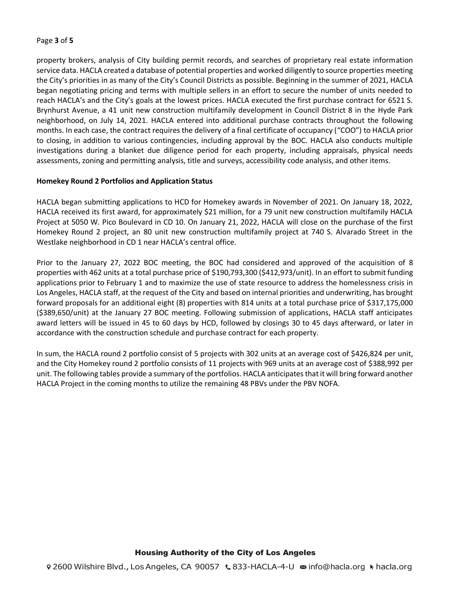## Page **3** of **5**

property brokers, analysis of City building permit records, and searches of proprietary real estate information service data. HACLA created a database of potential properties and worked diligently to source properties meeting the City's priorities in as many of the City's Council Districts as possible. Beginning in the summer of 2021, HACLA began negotiating pricing and terms with multiple sellers in an effort to secure the number of units needed to reach HACLA's and the City's goals at the lowest prices. HACLA executed the first purchase contract for 6521 S. Brynhurst Avenue, a 41 unit new construction multifamily development in Council District 8 in the Hyde Park neighborhood, on July 14, 2021. HACLA entered into additional purchase contracts throughout the following months. In each case, the contract requires the delivery of a final certificate of occupancy ("COO") to HACLA prior to closing, in addition to various contingencies, including approval by the BOC. HACLA also conducts multiple investigations during a blanket due diligence period for each property, including appraisals, physical needs assessments, zoning and permitting analysis, title and surveys, accessibility code analysis, and other items.

#### **Homekey Round 2 Portfolios and Application Status**

HACLA began submitting applications to HCD for Homekey awards in November of 2021. On January 18, 2022, HACLA received its first award, for approximately \$21 million, for a 79 unit new construction multifamily HACLA Project at 5050 W. Pico Boulevard in CD 10. On January 21, 2022, HACLA will close on the purchase of the first Homekey Round 2 project, an 80 unit new construction multifamily project at 740 S. Alvarado Street in the Westlake neighborhood in CD 1 near HACLA's central office.

Prior to the January 27, 2022 BOC meeting, the BOC had considered and approved of the acquisition of 8 properties with 462 units at a total purchase price of \$190,793,300 (\$412,973/unit). In an effort to submit funding applications prior to February 1 and to maximize the use of state resource to address the homelessness crisis in Los Angeles, HACLA staff, at the request of the City and based on internal priorities and underwriting, has brought forward proposals for an additional eight (8) properties with 814 units at a total purchase price of \$317,175,000 (\$389,650/unit) at the January 27 BOC meeting. Following submission of applications, HACLA staff anticipates award letters will be issued in 45 to 60 days by HCD, followed by closings 30 to 45 days afterward, or later in accordance with the construction schedule and purchase contract for each property.

In sum, the HACLA round 2 portfolio consist of 5 projects with 302 units at an average cost of \$426,824 per unit, and the City Homekey round 2 portfolio consists of 11 projects with 969 units at an average cost of \$388,992 per unit. The following tables provide a summary of the portfolios. HACLA anticipates that it will bring forward another HACLA Project in the coming months to utilize the remaining 48 PBVs under the PBV NOFA.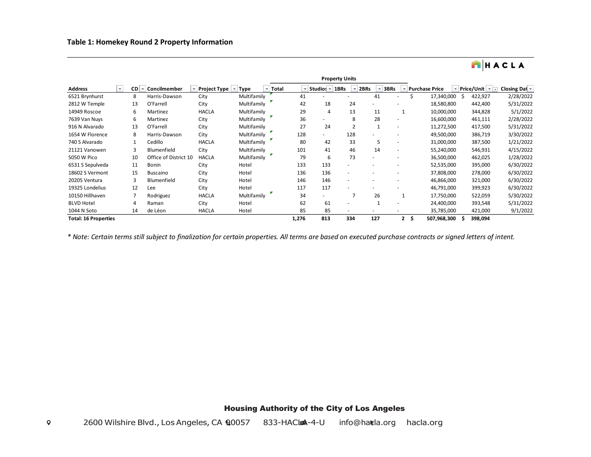|                             |                          |    |                       |                     |             |                                   | <b>Property Units</b> |                          |                          |                          |                       |    |                |               |
|-----------------------------|--------------------------|----|-----------------------|---------------------|-------------|-----------------------------------|-----------------------|--------------------------|--------------------------|--------------------------|-----------------------|----|----------------|---------------|
| <b>Address</b>              | $\overline{\phantom{a}}$ | CD | Concilmember          | <b>Project Type</b> | <b>Type</b> | Total<br>$\overline{\phantom{a}}$ | Studios ~             | 1BRs                     | 2BRs                     | 3BRs                     | <b>Purchase Price</b> |    | Price/Unit   - | Closing Dat - |
| 6521 Brynhurst              |                          | 8  | Harris-Dawson         | City                | Multifamily | 41                                |                       |                          | 41                       | $\overline{\phantom{a}}$ | 17,340,000            | Ŝ. | 422,927        | 2/28/2022     |
| 2812 W Temple               |                          | 13 | O'Farrell             | City                | Multifamily | 42                                | 18                    | 24                       | $\overline{\phantom{a}}$ |                          | 18,580,800            |    | 442,400        | 5/31/2022     |
| 14949 Roscoe                |                          | 6  | Martinez              | <b>HACLA</b>        | Multifamily | 29                                | 4                     | 13                       | 11                       |                          | 10,000,000            |    | 344,828        | 5/1/2022      |
| 7639 Van Nuys               |                          | 6  | Martinez              | City                | Multifamily | 36                                |                       | 8                        | 28                       |                          | 16,600,000            |    | 461,111        | 2/28/2022     |
| 916 N Alvarado              |                          | 13 | O'Farrell             | City                | Multifamily | 27                                | 24                    |                          | 1                        |                          | 11,272,500            |    | 417,500        | 5/31/2022     |
| 1654 W Florence             |                          | 8  | Harris-Dawson         | City                | Multifamily | 128                               |                       | 128                      |                          |                          | 49,500,000            |    | 386,719        | 3/30/2022     |
| 740 S Alvarado              |                          |    | Cedillo               | <b>HACLA</b>        | Multifamily | 80                                | 42                    | 33                       | 5                        |                          | 31,000,000            |    | 387,500        | 1/21/2022     |
| 21121 Vanowen               |                          | 3  | Blumenfield           | City                | Multifamily | 101                               | 41                    | 46                       | 14                       | ٠                        | 55,240,000            |    | 546,931        | 4/15/2022     |
| 5050 W Pico                 |                          | 10 | Office of District 10 | <b>HACLA</b>        | Multifamily | 79                                | 6                     | 73                       | ٠                        |                          | 36,500,000            |    | 462,025        | 1/28/2022     |
| 6531 S Sepulveda            |                          | 11 | <b>Bonin</b>          | City                | Hotel       | 133                               | 133                   |                          |                          |                          | 52,535,000            |    | 395,000        | 6/30/2022     |
| 18602 S Vermont             |                          | 15 | <b>Buscaino</b>       | City                | Hotel       | 136                               | 136                   |                          |                          |                          | 37,808,000            |    | 278,000        | 6/30/2022     |
| 20205 Ventura               |                          | 3  | Blumenfield           | City                | Hotel       | 146                               | 146                   |                          |                          |                          | 46,866,000            |    | 321,000        | 6/30/2022     |
| 19325 Londelius             |                          | 12 | Lee                   | City                | Hotel       | 117                               | 117                   |                          |                          |                          | 46,791,000            |    | 399,923        | 6/30/2022     |
| 10150 Hillhaven             |                          |    | Rodriguez             | <b>HACLA</b>        | Multifamily | 34                                |                       |                          | 26                       |                          | 17,750,000            |    | 522,059        | 5/30/2022     |
| <b>BLVD Hotel</b>           |                          | 4  | Raman                 | City                | Hotel       | 62                                | 61                    |                          |                          | $\overline{\phantom{a}}$ | 24,400,000            |    | 393,548        | 5/31/2022     |
| 1044 N Soto                 |                          | 14 | de Léon               | <b>HACLA</b>        | Hotel       | 85                                | 85                    | $\overline{\phantom{a}}$ |                          |                          | 35,785,000            |    | 421,000        | 9/1/2022      |
| <b>Total: 16 Properties</b> |                          |    |                       |                     |             | 1,276                             | 813                   | 334                      | 127                      | \$.<br>$\mathbf{2}$      | 507,968,300           |    | 398,094        |               |

HACLA

*\* Note: Certain terms still subject to finalization for certain properties. All terms are based on executed purchase contracts or signed letters of intent.*